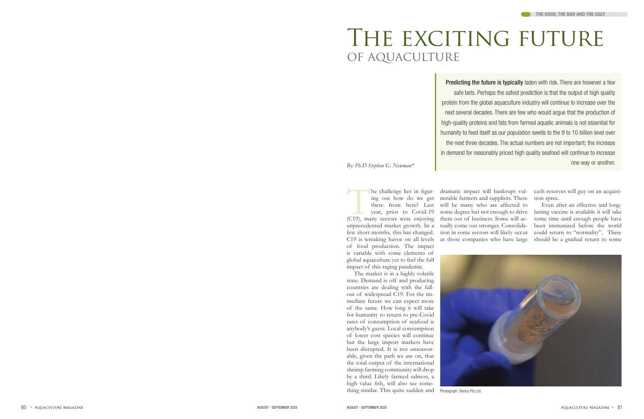# THE EXCITING FUTURE of aquaculture

*By: Ph.D Stephen G. Newman\**

of food production. The impact is variable with some elements of global aquaculture yet to feel the full impact of this raging pandemic.

Predicting the future is typically laden with risk. There are however a few safe bets. Perhaps the safest prediction is that the output of high quality protein from the global aquaculture industry will continue to increase over the next several decades. There are few who would argue that the production of high-quality proteins and fats from farmed aquatic animals is not essential for humanity to feed itself as our population swells to the 9 to 10 billion level over the next three decades. The actual numbers are not important; the increase in demand for reasonably priced high quality seafood will continue to increase one way or another.

The market is in a highly volatile state. Demand is off and producing countries are dealing with the fall out of widespread C19. For the im mediate future we can expect more of the same. How long it will take for humanity to return to pre-Covid rates of consumption of seafood is anybody's guess. Local consumption of lower cost species will continue but the large import markets have been disrupted. It is not unreason able, given the path we are on, that the total output of the international shrimp farming community will drop by a third. Likely farmed salmon, a high value fish, will also see some thing similar. This quite sudden and Photograph: Genics Pty Ltd.

The challenge lies in figur-<br>
(The challenge lies in figur-<br>
(C19), many do we get nerable farmers and suppliers. There<br>
there from here? Last will be many who are affected to<br>
there an effective and long-<br>
year, prior to ing out how do we get nerable farmers and suppliers. There tion spree. there from here? Last will be many who are affected to year, prior to Covid-19 some degree but not enough to drive lasting vaccine is available it will take unprecedented market growth. In a tually come out stronger. Consolida few short months, this has changed. tion in some sectors will likely occur could return to "normality". There C19 is wreaking havoc on all levels as those companies who have large should be a gradual return to some dramatic impact will bankrupt vul- cash reserves will guy on an acquisi-



Even after an effective and longbeen immunized before the world

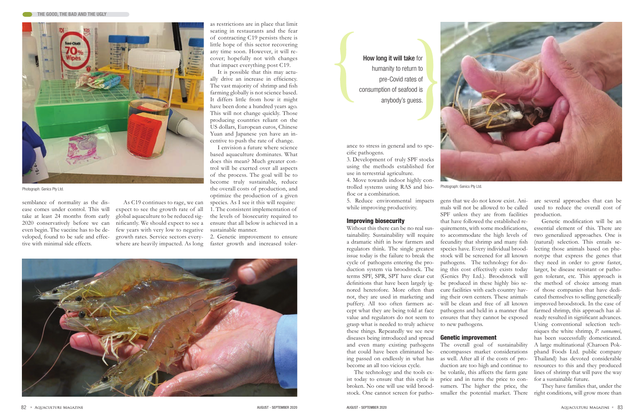as restrictions are in place that limit seating in restaurants and the fear of contracting C19 persists there is little hope of this sector recovering any time soon. However, it will recover; hopefully not with changes that impact everything post C19.

It is possible that this may actually drive an increase in efficiency. The vast majority of shrimp and fish farming globally is not science based. It differs little from how it might have been done a hundred years ago. This will not change quickly. Those producing countries reliant on the US dollars, European euros, Chinese Yuan and Japanese yen have an incentive to push the rate of change.

I envision a future where science based aquaculture dominates. What does this mean? Much greater control will be exerted over all aspects of the process. The goal will be to become truly sustainable, reduce Photograph: Genics Pty Ltd. **Examples Production**, and **Examples 2008** From the overall costs of production, and **Examples 2008** From the overall costs of production, and **Examples 2008** From the overall costs of productio optimize the production of a given species. As I see it this will require: 1. The consistent implementation of the levels of biosecurity required to ensure that all below is achieved in a sustainable manner.

4. Move towards indoor highly controlled systems using RAS and biofloc or a combination.

5. Reduce environmental impacts while improving productivity.

2. Genetic improvement to ensure faster growth and increased toler-



## How long it will take for humanity to return to pre-Covid rates of consumption of seafood is anybody's guess.



semblance of normality as the disease comes under control. This will take at least 24 months from early 2020 conservatively before we can even begin. The vaccine has to be developed, found to be safe and effective with minimal side effects.

As C19 continues to rage, we can expect to see the growth rate of all global aquaculture to be reduced significantly. We should expect to see a few years with very low to negative growth rates. Service sectors everywhere are heavily impacted. As long ance to stress in general and to specific pathogens.

3. Development of truly SPF stocks using the methods established for use in terrestrial agriculture.

### Improving biosecurity

Without this there can be no real susa dramatic shift in how farmers and regulators think. The single greatest cycle of pathogens entering the production system via broodstock. The terms SPF, SPR, SPT have clear cut definitions that have been largely ignored heretofore. More often than grasp what is needed to truly achieve to new pathogens. these things. Repeatedly we see new diseases being introduced and spread **Genetic improvement** and even many existing pathogens that could have been eliminated being passed on endlessly in what has as well. After all if the costs of probecome an all too vicious cycle.

tainability. Sustainability will require to accommodate the high levels of issue today is the failure to break the stock will be screened for all known not, they are used in marketing and ing their own centers. These animals puffery. All too often farmers ac-will be clean and free of all known cept what they are being told at face pathogens and held in a manner that value and regulators do not seem to ensures that they cannot be exposed gens that we do not know exist. Ani-are several approaches that can be mals will not be allowed to be called SPF unless they are from facilities production. that have followed the established requirements, with some modifications, fecundity that shrimp and many fish species have. Every individual broodpathogens. The technology for doing this cost effectively exists today (Genics Pty Ltd.). Broodstock will be produced in these highly bio secure facilities with each country hav-

ist today to ensure that this cycle is broken. No one will use wild brood-

The technology and the tools ex-be volatile, this affects the farm gate stock. One cannot screen for patho-smaller the potential market. There right conditions, will grow more than The overall goal of sustainability encompasses market considerations duction are too high and continue to price and in turns the price to consumers. The higher the price, the A large multinational (Charoen Pokphand Foods Ltd. public company Thailand) has devoted considerable resources to this and they produced lines of shrimp that will pave the way for a sustainable future. They have families that, under the



used to reduce the overall cost of

Genetic modification will be an essential element of this. There are two generalized approaches. One is (natural) selection. This entails selecting those animals based on phenotype that express the genes that they need in order to grow faster, larger, be disease resistant or pathogen tolerant, etc. This approach is the method of choice among man of those companies that have dedicated themselves to selling genetically improved broodstock. In the case of farmed shrimp, this approach has already resulted in significant advances. Using conventional selection techniques the white shrimp, *P. vannamei*, has been successfully domesticated.